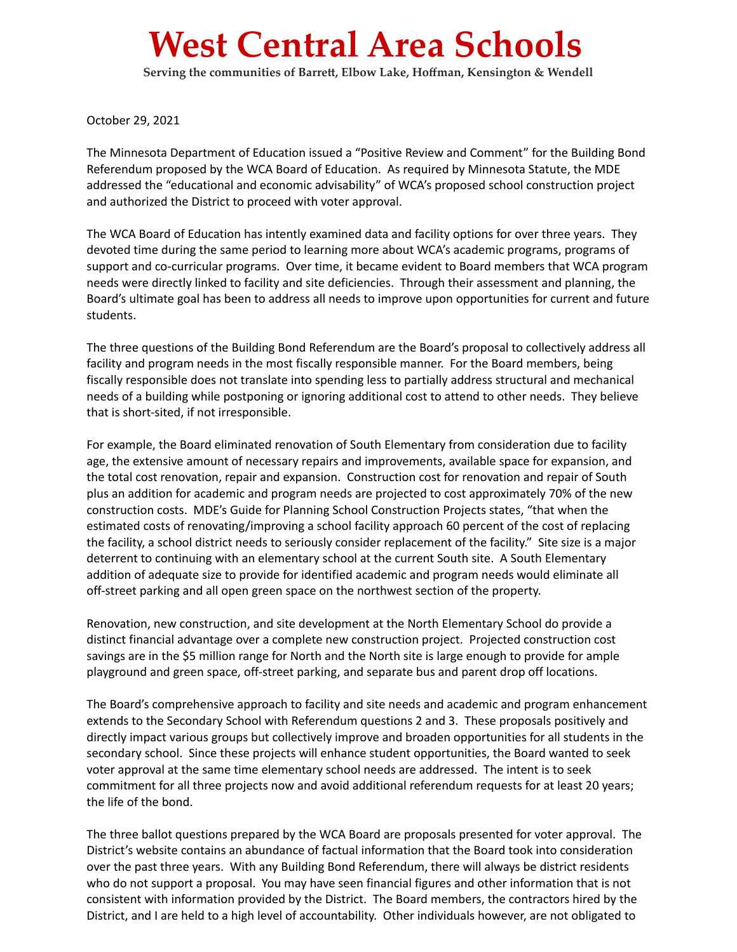## **West Central Area Schools**

**Serving the communities of Barrett, Elbow Lake, Hoffman, Kensington & Wendell**

October 29, 2021

The Minnesota Department of Education issued a "Positive Review and Comment" for the Building Bond Referendum proposed by the WCA Board of Education. As required by Minnesota Statute, the MDE addressed the "educational and economic advisability" of WCA's proposed school construction project and authorized the District to proceed with voter approval.

The WCA Board of Education has intently examined data and facility options for over three years. They devoted time during the same period to learning more about WCA's academic programs, programs of support and co-curricular programs. Over time, it became evident to Board members that WCA program needs were directly linked to facility and site deficiencies. Through their assessment and planning, the Board's ultimate goal has been to address all needs to improve upon opportunities for current and future students.

The three questions of the Building Bond Referendum are the Board's proposal to collectively address all facility and program needs in the most fiscally responsible manner. For the Board members, being fiscally responsible does not translate into spending less to partially address structural and mechanical needs of a building while postponing or ignoring additional cost to attend to other needs. They believe that is short-sited, if not irresponsible.

For example, the Board eliminated renovation of South Elementary from consideration due to facility age, the extensive amount of necessary repairs and improvements, available space for expansion, and the total cost renovation, repair and expansion. Construction cost for renovation and repair of South plus an addition for academic and program needs are projected to cost approximately 70% of the new construction costs. MDE's Guide for Planning School Construction Projects states, "that when the estimated costs of renovating/improving a school facility approach 60 percent of the cost of replacing the facility, a school district needs to seriously consider replacement of the facility." Site size is a major deterrent to continuing with an elementary school at the current South site. A South Elementary addition of adequate size to provide for identified academic and program needs would eliminate all off-street parking and all open green space on the northwest section of the property.

Renovation, new construction, and site development at the North Elementary School do provide a distinct financial advantage over a complete new construction project. Projected construction cost savings are in the \$5 million range for North and the North site is large enough to provide for ample playground and green space, off-street parking, and separate bus and parent drop off locations.

The Board's comprehensive approach to facility and site needs and academic and program enhancement extends to the Secondary School with Referendum questions 2 and 3. These proposals positively and directly impact various groups but collectively improve and broaden opportunities for all students in the secondary school. Since these projects will enhance student opportunities, the Board wanted to seek voter approval at the same time elementary school needs are addressed. The intent is to seek commitment for all three projects now and avoid additional referendum requests for at least 20 years; the life of the bond.

The three ballot questions prepared by the WCA Board are proposals presented for voter approval. The District's website contains an abundance of factual information that the Board took into consideration over the past three years. With any Building Bond Referendum, there will always be district residents who do not support a proposal. You may have seen financial figures and other information that is not consistent with information provided by the District. The Board members, the contractors hired by the District, and I are held to a high level of accountability. Other individuals however, are not obligated to